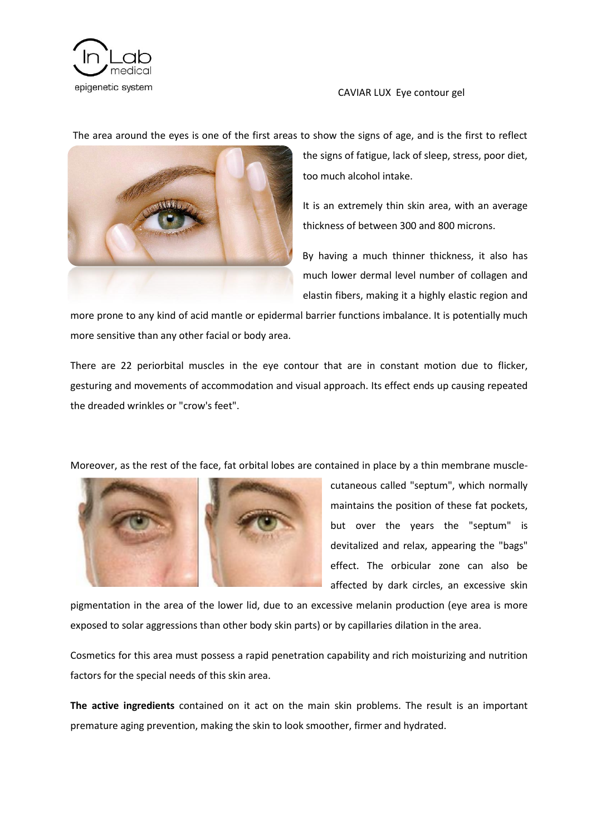

#### CAVIAR LUX Eye contour gel

The area around the eyes is one of the first areas to show the signs of age, and is the first to reflect



the signs of fatigue, lack of sleep, stress, poor diet, too much alcohol intake.

It is an extremely thin skin area, with an average thickness of between 300 and 800 microns.

By having a much thinner thickness, it also has much lower dermal level number of collagen and elastin fibers, making it a highly elastic region and

more prone to any kind of acid mantle or epidermal barrier functions imbalance. It is potentially much more sensitive than any other facial or body area.

There are 22 periorbital muscles in the eye contour that are in constant motion due to flicker, gesturing and movements of accommodation and visual approach. Its effect ends up causing repeated the dreaded wrinkles or "crow's feet".

Moreover, as the rest of the face, fat orbital lobes are contained in place by a thin membrane muscle-



cutaneous called "septum", which normally maintains the position of these fat pockets, but over the years the "septum" is devitalized and relax, appearing the "bags" effect. The orbicular zone can also be affected by dark circles, an excessive skin

pigmentation in the area of the lower lid, due to an excessive melanin production (eye area is more exposed to solar aggressions than other body skin parts) or by capillaries dilation in the area.

Cosmetics for this area must possess a rapid penetration capability and rich moisturizing and nutrition factors for the special needs of this skin area.

**The active ingredients** contained on it act on the main skin problems. The result is an important premature aging prevention, making the skin to look smoother, firmer and hydrated.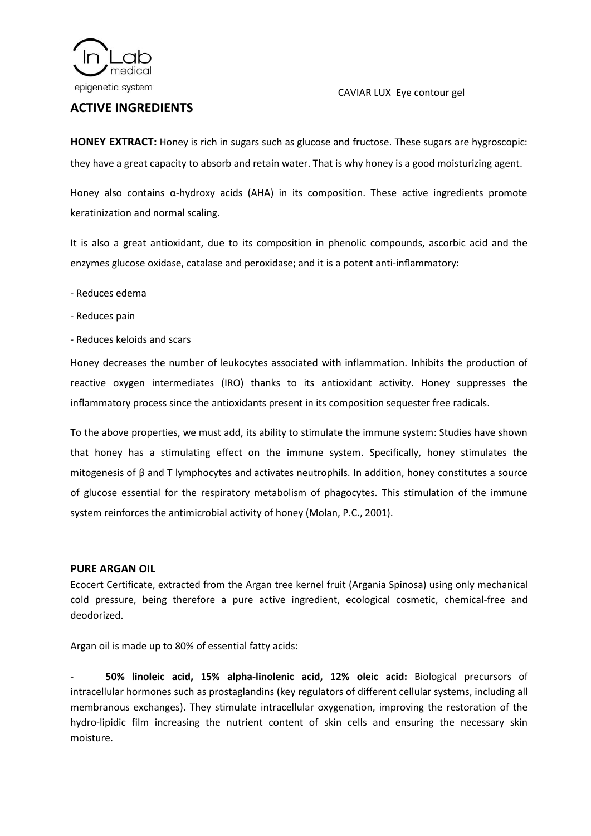

# **ACTIVE INGREDIENTS**

## CAVIAR LUX Eye contour gel

**HONEY EXTRACT:** Honey is rich in sugars such as glucose and fructose. These sugars are hygroscopic: they have a great capacity to absorb and retain water. That is why honey is a good moisturizing agent.

Honey also contains α-hydroxy acids (AHA) in its composition. These active ingredients promote keratinization and normal scaling.

It is also a great antioxidant, due to its composition in phenolic compounds, ascorbic acid and the enzymes glucose oxidase, catalase and peroxidase; and it is a potent anti-inflammatory:

- Reduces edema
- Reduces pain
- Reduces keloids and scars

Honey decreases the number of leukocytes associated with inflammation. Inhibits the production of reactive oxygen intermediates (IRO) thanks to its antioxidant activity. Honey suppresses the inflammatory process since the antioxidants present in its composition sequester free radicals.

To the above properties, we must add, its ability to stimulate the immune system: Studies have shown that honey has a stimulating effect on the immune system. Specifically, honey stimulates the mitogenesis of β and T lymphocytes and activates neutrophils. In addition, honey constitutes a source of glucose essential for the respiratory metabolism of phagocytes. This stimulation of the immune system reinforces the antimicrobial activity of honey (Molan, P.C., 2001).

### **PURE ARGAN OIL**

Ecocert Certificate, extracted from the Argan tree kernel fruit (Argania Spinosa) using only mechanical cold pressure, being therefore a pure active ingredient, ecological cosmetic, chemical-free and deodorized.

Argan oil is made up to 80% of essential fatty acids:

- **50% linoleic acid, 15% alpha-linolenic acid, 12% oleic acid:** Biological precursors of intracellular hormones such as prostaglandins (key regulators of different cellular systems, including all membranous exchanges). They stimulate intracellular oxygenation, improving the restoration of the hydro-lipidic film increasing the nutrient content of skin cells and ensuring the necessary skin moisture.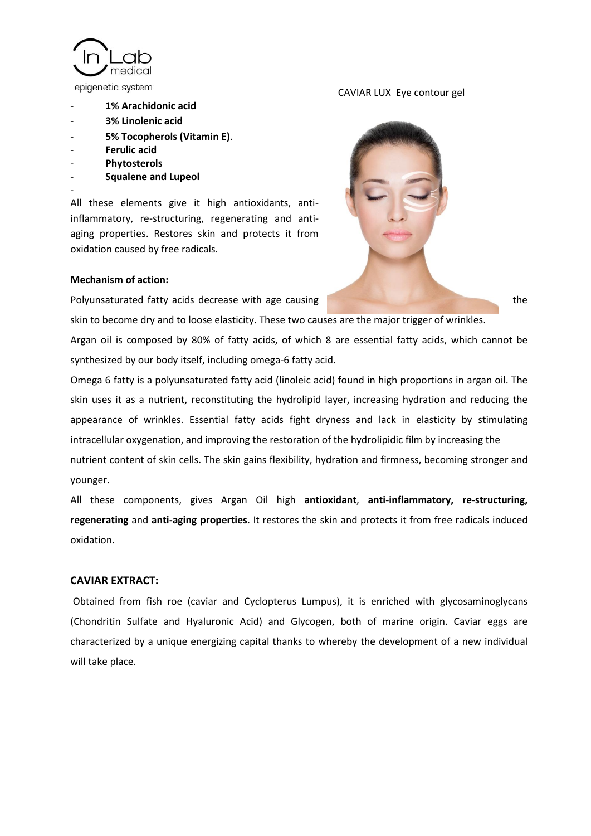medica epigenetic system

- **1% Arachidonic acid**
- **3% Linolenic acid**
- **5% Tocopherols (Vitamin E)**.
- **Ferulic acid**
- **Phytosterols**

-

- **Squalene and Lupeol**

All these elements give it high antioxidants, antiinflammatory, re-structuring, regenerating and antiaging properties. Restores skin and protects it from oxidation caused by free radicals.

#### **Mechanism of action:**

Polyunsaturated fatty acids decrease with age causing the the state of the state of the state of the state of the state of the state of the state of the state of the state of the state of the state of the state of the stat

skin to become dry and to loose elasticity. These two causes are the major trigger of wrinkles.

Argan oil is composed by 80% of fatty acids, of which 8 are essential fatty acids, which cannot be synthesized by our body itself, including omega-6 fatty acid.

Omega 6 fatty is a polyunsaturated fatty acid (linoleic acid) found in high proportions in argan oil. The skin uses it as a nutrient, reconstituting the hydrolipid layer, increasing hydration and reducing the appearance of wrinkles. Essential fatty acids fight dryness and lack in elasticity by stimulating intracellular oxygenation, and improving the restoration of the hydrolipidic film by increasing the nutrient content of skin cells. The skin gains flexibility, hydration and firmness, becoming stronger and younger.

All these components, gives Argan Oil high **antioxidant**, **anti-inflammatory, re-structuring, regenerating** and **anti-aging properties**. It restores the skin and protects it from free radicals induced oxidation.

### **CAVIAR EXTRACT:**

Obtained from fish roe (caviar and Cyclopterus Lumpus), it is enriched with glycosaminoglycans (Chondritin Sulfate and Hyaluronic Acid) and Glycogen, both of marine origin. Caviar eggs are characterized by a unique energizing capital thanks to whereby the development of a new individual will take place.

#### CAVIAR LUX Eye contour gel

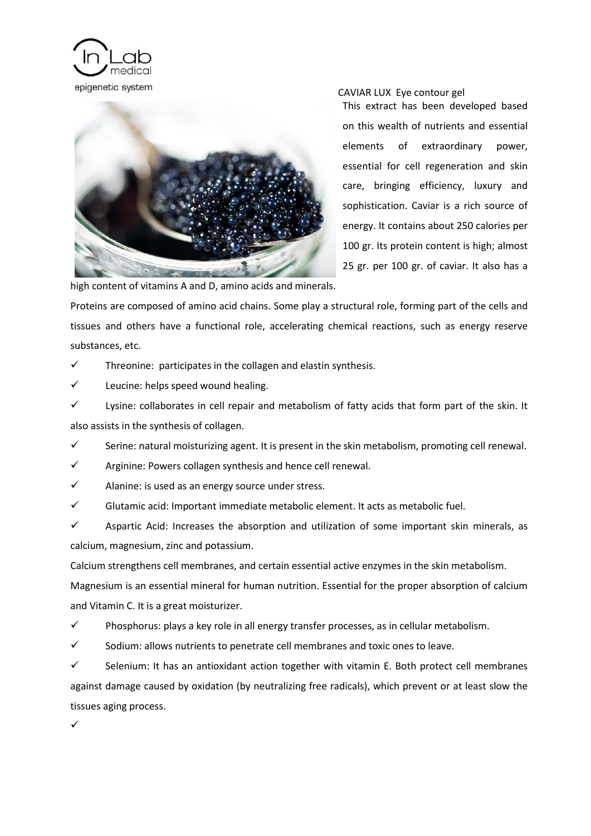



#### CAVIAR LUX Eye contour gel

This extract has been developed based on this wealth of nutrients and essential elements of extraordinary power, essential for cell regeneration and skin care, bringing efficiency, luxury and sophistication. Caviar is a rich source of energy. It contains about 250 calories per 100 gr. Its protein content is high; almost 25 gr. per 100 gr. of caviar. It also has a

high content of vitamins A and D, amino acids and minerals.

Proteins are composed of amino acid chains. Some play a structural role, forming part of the cells and tissues and others have a functional role, accelerating chemical reactions, such as energy reserve substances, etc.

 $\checkmark$  Threonine: participates in the collagen and elastin synthesis.

 $\checkmark$  Leucine: helps speed wound healing.

 $\checkmark$  Lysine: collaborates in cell repair and metabolism of fatty acids that form part of the skin. It also assists in the synthesis of collagen.

 $\checkmark$  Serine: natural moisturizing agent. It is present in the skin metabolism, promoting cell renewal.

 $\checkmark$  Arginine: Powers collagen synthesis and hence cell renewal.

 $\checkmark$  Alanine: is used as an energy source under stress.

 $\checkmark$  Glutamic acid: Important immediate metabolic element. It acts as metabolic fuel.

 $\checkmark$  Aspartic Acid: Increases the absorption and utilization of some important skin minerals, as calcium, magnesium, zinc and potassium.

Calcium strengthens cell membranes, and certain essential active enzymes in the skin metabolism.

Magnesium is an essential mineral for human nutrition. Essential for the proper absorption of calcium and Vitamin C. It is a great moisturizer.

 $\checkmark$  Phosphorus: plays a key role in all energy transfer processes, as in cellular metabolism.

 $\checkmark$  Sodium: allows nutrients to penetrate cell membranes and toxic ones to leave.

 $\checkmark$  Selenium: It has an antioxidant action together with vitamin E. Both protect cell membranes against damage caused by oxidation (by neutralizing free radicals), which prevent or at least slow the tissues aging process.

 $\checkmark$